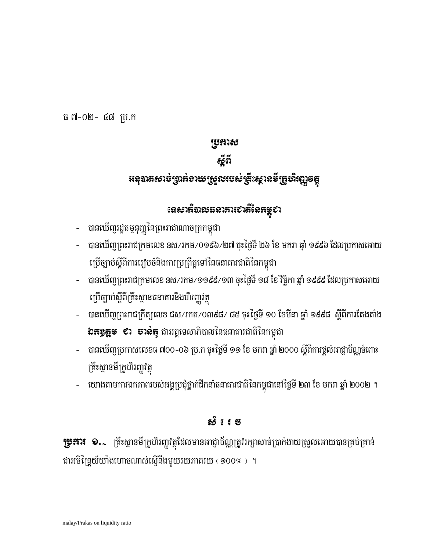**ប្រូភារ៖ ១.**、 គ្រឹះស្ថានមីក្រូហិរញ្ហវត្ថុដែលមានអាជ្ញាប័ណ្ណត្រូវរក្សាសាច់ប្រាក់ងាយស្រួលអោយបានគ្រប់គ្រាន់ ជាអចិន្ត្រៃយ៍យ៉ាងហោចណាស់ស្នើនឹងមួយរយភាគរយ ( 900% ) ។

យោងតាមការឯកភាពរបស់អង្គប្រជុំថ្នាក់ដឹកនាំធនាគារជាតិនៃកម្ពុជានៅថ្ងៃទី ២៣ ខែ មករា ឆ្នាំ ២០០២ ។

ක් 1ෙෙස

- បានឃើញប្រកាសលេខធ ៧០០–០៦ ប្រ.ក ចុះថ្ងៃទី ១១ ខែ មករា ឆ្នាំ ២០០០ ស្តីពីការផ្តល់អាជ្ញាប័ណ្ណចំពោះ គ្រឹះស្ថានមីក្រូហិរញ្ញវត្ថ
- **៦ភ9្គុឌ្** ៩រ ទាន់ត្យូ ជាអគ្គទេសាភិបាលនៃធនាគារជាតិនៃកម្ពុជា
- $\omega_{\rm{max}}$
- ប្រើច្បាប់ស្តីពីត្រឹះស្ថានធនាគារនិងហិរញ្ញវត្ថុ – បានឃើញព្រះរាជក្រឹត្យលេខ ជស/រកត/០៣៩៨/ ៨៥ ចុះថ្ងៃទី ១០ ខែមីនា ឆ្នាំ ១៩៩៨ ស្តីពីការតែងតាំង
- ប្រើច្បាប់ស្តីពីការរៀបចំនិងការប្រព្រឹត្តទៅនៃធនាគារជាតិនៃកម្ពុជា – បានឃើញព្រះរាជក្រមលេខ នស/រកម/១១៩៩/១៣ ចុះថ្ងៃទី ១៨ ខែ វិច្ឆិកា ឆ្នាំ ១៩៩៩ ដែលប្រកាសអោយ

# – បានឃើញព្រះរាជក្រមលេខ នស/រកម/09៩៦/២៧ ចុះថ្ងៃទី ២៦ ខែ មករា ឆ្នាំ ១៩៩៦ ដែលប្រកាសអោយ

– បានឃើញរដ្ឋធម្មនុញ្ញនៃព្រះរាជាណាចក្រកម្ពុជា

## ธ์ตั **៖ឆេះបានទារត្**រីដាងសាយស្រួលរបស់ឌ្រីះស្ថានមីក្រូសិរញ្ញទ<del>ត្ត</del>

**ប្រុកាស** 

ធ ៧-០២- ៤៨ ប្រ.ក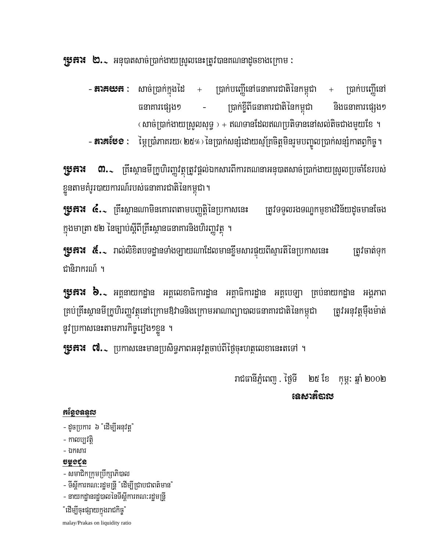**រុទ្ធភារ៖ ២.**៹ អនុបាតសាច់ប្រាក់ងាយស្រួលនេះត្រូវបានគណនាដូចខាងក្រោម :

– **នាគយន**េះ សាច់ប្រាក់ក្នុងដៃ + ប្រាក់បញ្ហើនៅធនាគារជាតិនៃកម្ពុជា + ប្រាក់បញ្ហើនៅ ប្រាក់ខ្ចីពីធនាគារជាតិនៃកម្ពុជា ធនាគារផេរុង១ **និងធនាគារផេរុង**១ (សាច់ប្រាក់ងាយស្រួលសុទ្ធ ) + ឥណទានដែលឥណប្រតិទាននៅសល់តិចជាងមួយខែ ។

– **នារគបែខ :** ម្ភៃប្រាំភាគរយ< ២៥% > នៃប្រាក់សន្សំដោយស្ម័គ្រចិត្តមិនរួមបញ្ចូលប្រាក់សន្សំកាតព្វកិច្ច ។

**្រុ្វអារ៖ ៣.** ក្រឹះស្ថានមីក្រូហិរញ្ហវត្ថុត្រូវផ្តល់ឯកសារពីការគណនាអនុបាតសាច់ប្រាក់ងាយស្រួលប្រចាំខែរបស់ ខ្លួនតាមគំរូរបាយការណ៍របស់ធនាគារជាតិនៃកម្ពុជា ។

**ប្រទុការ ៤.**১ ក្រឹះស្ថានណាមិនគោរពតាមបញ្ញត្តិនៃប្រកាសនេះ ត្រូវទទួលរងទណ្ឌកម្មខាងវិន័យដូចមានចែង ក្នុងមាត្រា ៥២ នៃច្បាប់ស្តីពីគ្រឹះស្ថានធនាគារនិងហិរញ្ញវត្ថុ ។

**ប្រូភារ៖ &..** រាល់លិខិតបទដ្ឋានទាំងឡាយណាដែលមានខ្លីមសារផ្ទុយពីស្មារតីនៃប្រកាសនេះ ត្រូវចាត់ទុក ជានិរាករណ៍ ។

**រុទ្ធភារ៖ ៦.**১ អគ្គនាយកដ្ឋាន អគ្គលេខាធិការដ្ឋាន អគ្គាធិការដ្ឋាន អគ្គបេឡា គ្រប់នាយកដ្ឋាន អង្គភាព គ្រប់គ្រឹះស្ថានមីក្រូហិរញ្ហវត្ថុនៅក្រោមឱវាទនិងក្រោមអាណាព្យាបាលធនាគារជាតិនៃកម្ពុជា ត្រូវអនុវត្តម្តងម៉ាត់ នូវប្រកាសនេះតាមភារកិច្ចរឿង១ខ្លួន ។

**ប្រភារ៖ ៧..**. ប្រកាសនេះមានប្រសិទ្ធភាពអនុវត្តចាប់ពីថ្ងៃចុះហត្ថលេខានេះតទៅ ។

រាជធានីភ្នំពេញ ថ្ងៃទី ២៥ ខែ កុម្ភ: ឆ្នាំ ២០០២ เฉสาล็ถาก

#### អន្ថែទឧន្ទរប

- ដូចប្រការ ៦ ដើម្បីអនុវត្ត"

- កាលប្បវត្តិ
- ឯកសារ

### uşoçr

- សមាជិកក្រុមប្រឹក្សាភិបាល
- ទីស្តីការគណ:រដ្ឋមន្ត្រី "ដើម្បីជ្រាបជាពត៌មាន"
- នាយកដានរដបាលនៃទីស្តីការគណ:រដមន្រ្តី
- "ដើម្បីចុះផ្សាយក្នុងរាជកិច្ច"

malay/Prakas on liquidity ratio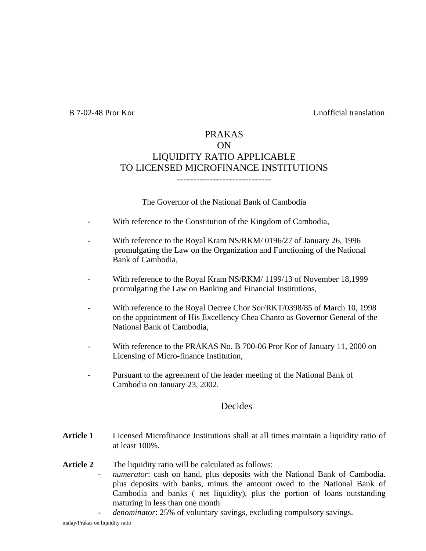B 7-02-48 Pror Kor Unofficial translation

### PRAKAS ON LIQUIDITY RATIO APPLICABLE TO LICENSED MICROFINANCE INSTITUTIONS -----------------------------

The Governor of the National Bank of Cambodia

- With reference to the Constitution of the Kingdom of Cambodia,
- With reference to the Royal Kram NS/RKM/ 0196/27 of January 26, 1996 promulgating the Law on the Organization and Functioning of the National Bank of Cambodia,
- With reference to the Royal Kram NS/RKM/ 1199/13 of November 18,1999 promulgating the Law on Banking and Financial Institutions,
- With reference to the Royal Decree Chor Sor/RKT/0398/85 of March 10, 1998 on the appointment of His Excellency Chea Chanto as Governor General of the National Bank of Cambodia,
- With reference to the PRAKAS No. B 700-06 Pror Kor of January 11, 2000 on Licensing of Micro-finance Institution,
- Pursuant to the agreement of the leader meeting of the National Bank of Cambodia on January 23, 2002.

#### Decides

- **Article 1** Licensed Microfinance Institutions shall at all times maintain a liquidity ratio of at least 100%.
- Article 2 The liquidity ratio will be calculated as follows:
	- *numerator*: cash on hand, plus deposits with the National Bank of Cambodia. plus deposits with banks, minus the amount owed to the National Bank of Cambodia and banks ( net liquidity), plus the portion of loans outstanding maturing in less than one month
		- *denominator*: 25% of voluntary savings, excluding compulsory savings.